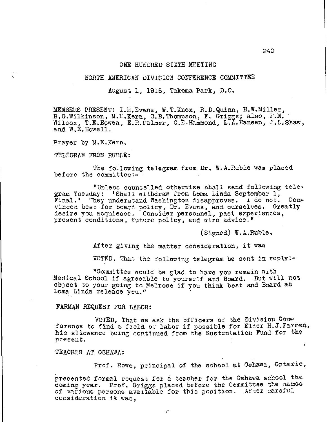#### ONE HUNDRED SIXTH MEETING

# NORTH AMERICAN DIVISION CONFERENCE COMMITTEE

August 1, 1915, Takoma Park, D.C.

MEMBERS PRESENT: I.H.Evans, W.T.Knox, R.D.Quinn, H.W.Miller, B.G.Wilkinson, M.E.Kern, G.B.Thompson, F. Griggs; also, F.M. Wilcox, T.E.Bowen, E.R.Palmer, C.E.Hammond, L.A.Hansen, J.L.Shaw, and W.E.Howell.

Prayer by M.E.Kern.

 $\left(\begin{array}{c} 1 \ 1 \ 1 \end{array}\right)$ 

TELEGRAM FROM RUBLE:

The following telegram from Dr. W.A.Ruble was placed before the committee:-

"Unless counselled otherwise shall send following telegram Tuesday: 'Shall withdraw from Loma Linda September 1, Final.' They understand Washington disapproves. I do not. Convinced best for board policy, Dr. Evans, and ourselves. Greatly desire you acquiesce. Consider personnel, past experiences, present conditions, future.policy, and wire advice."

(Signed) W.A.Ruble.

After giving the matter consideration, it was

VOTED, That the following telegram be sent in reply:-

"Committee would be glad to have you remain with Medical School if agreeable to yourself and Board. But will not object to your going to Melrose if you think best and Board at Loma Linda release you."

## FARMAN REQUEST FOR LABOR:

VOTED, That we ask the officers of the Division Conference to find a field of labor if possible for Elder H.J.Farman, his allowance being continued from the Sustentation Fund for the present.

TEACHER AT OSHAWA:

Prof. Rowe, principal of the school at Oshawa, Ontario,

presented formal request for a teacher for the Qehawa school the coming year. Prof. Griggs placed before the Committee the names of various persons available for this position. After careful consideration it was,

y×,

240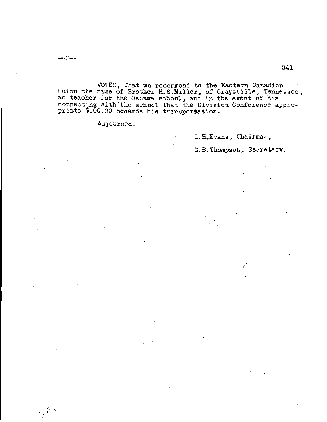f

VOTED, That we recommend to the Eastern Canadian Union the name of Brother H.S,Miller, of Graysville, Tennessee, as teacher for the Oshawa school, and in the event of his connecting with the school that the Division Conference appropriate \$100.00 towards his transportation.

Adjourned.

I.H.Evans, Chairman,

G. B. Thompson, Secretary.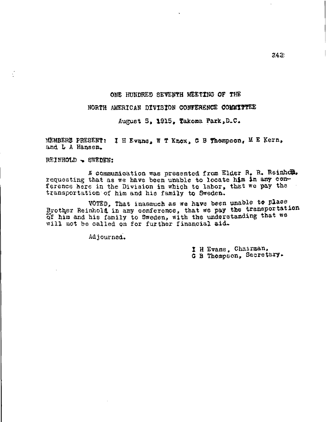# ONE HUNDRED SEVENTH MEETING OF THE

# NORTH AMERICAN DIVISION CONFERENCE COMMITTEE

August 5, 1915, Takoma Park,D.C.

MEMBERS PRESENT: I H Evans, W T Knox, G B Thompson, M E Kern, and L A Hansen.

REINHOLD . SWEDEN:

A communication was presented from Elder R. R. Reinhcle. requesting that as we have been unable to locate hjm in any con ference here in the Division in which to labor, that we pay the transportation of him and his family to Sweden.

VOTED, That inasmuch as we have been unable to place Brother Reinhold in any conference, that we pay the transportation of Lim and his family to Sweden, with the understanding that we will not be called on for further financial aid.

Adjourned.

I H Evans, Chairman, G B Thompson, Secretary.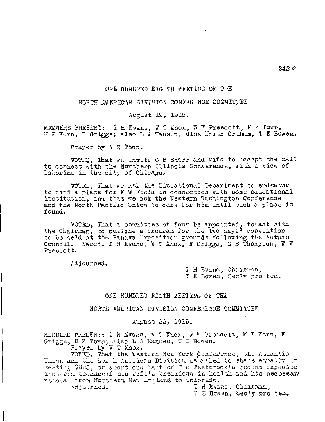# 242a

## ONE HUNDRED EIGHTH MEETING OF THE

# NORTH AMERICAN DIVISION CONFERENCE COMMITTEE

August 19, 1915.

MEMBERS PRESENT:  $I$  H Evans, W T Knox, W W Prescott, N Z Town, M E Kern, F Griggs; also L A Hansen, Miss Edith Graham, T E Bowen.

Prayer by N Z Town.

VOTED, That we invite G B Starr and wife to accept the call to connect with the Northern Illinois Conference, with a view of laboring in the city of Chicago.

VOTED, That we ask the Educational Department to endeavor to find a place for F W Field in connection with some educational institution, and that we ask the Western Washington Conference and the North Pacific Union to care for him until such a place is found.

VOTED, That a committee of four be appointed, to,.act with the Chairman, to outline a program for the two days<sup>1</sup> convention to be held at the Panama Exposition grounds following the Autumn Council. Named: I H Evans, W T Knox, F Griggs, G B Thompson, W W Prescott.

Adjourned,

I H Evans, Chairman, T E Bowen, Secty pro tem.

#### ONE HUNDRED NINTH MEETING OF THE

NORTH AMERICAN DIVISION CONFERENCE COMMYTTEE

#### August 22, 1915.

MEMBERS PRESENT: I H Evans, W T Knox, W W Prescott, M E Kern, F Grisgs, N Z Town; also L A Hansen, T E Bowen.

Prayer by W T Knox.

VOTED, That the Western New York ponference, the Atlantic Union and the North American Division be asked to share equally in meeting \$225, or about one half of T B Westbrook's recent expenses incurred because of his wife's breakdown in health and his necessary removal from Northern New England to Colorado.

Adjourned. The Evans, Chairman,

T E Bowen, Sec'y pro tem.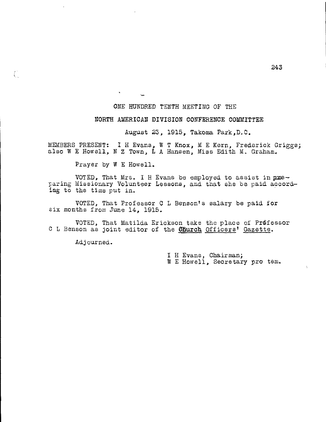# ONE HUNDRED TENTH MEETING OF THE

# NORTH AMERICAN DIVISION CONFERENCE COMMITTEE

August 23, 1915, Takoma Park,D.C.

MEMBERS PRESENT: I H Evans, W T Knox, M E Kern, Frederick Griggs; also W E Howell, N Z Town, L A Hansen, Miss Edith M. Graham.

Prayer by W E Howell.

 $\mathbf{w} = \mathbf{w}$ 

VOTED, That Mrs. I H Evans be employed to assist in  $pres$ paring Missionary Volunteer Lessons, and that she be paid accord ing to the time put in.

VOTED, That Professor C L Benson's salary be paid for six months from June 14, 1915.

VOTED, That Matilda Erickson take the place of Prdfessor C L Benson as joint editor of the **Church** Officers' Gazette.

Adjourned.

 $\mathcal{L}^{\mathbb{Z}}$ 

I H Evans, Chairman; W E Howell, Secretary pro tem.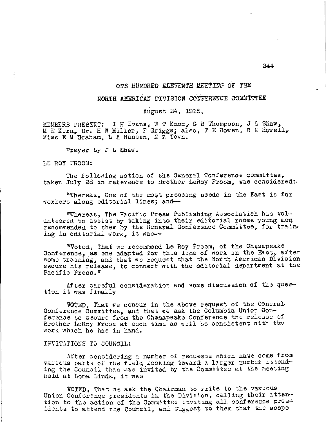# ONE HUNDRED ELEVENTH MEETING OF THE

# NORTH AMERICAN DIVISION CONFERENCE COMMITTEE

August 24, 1915.

MEMBERS PRESENT: I H Evans' w T Knox; G B Thompson, J L Shaw, M E Kern, Dr. H W Miller, F Griggs; also, T E Bowen, W E Howell, Miss E M Hraham, L A Hansen, N Z Town.

Prayer by J L Shaw.

LE ROY FROOM:

÷

The following action of the General Conference committee, taken July 28 in reference to Brother LeRoy Froom, was considered:

"Whereas, One of the most pressing needs in the East is for workers along editorial lines; and

\*Whereas, The Pacific Press Publishing Association has volunteered to assist by taking into their editorial rooms young men recommended to them by the General Conference Committee, for training in editorial work, it was-

"Voted, That we recommend Le Roy Froom, of the Chesapeake Conference, as one adapted for this line of work in the East, after some training, and that we request that the North American Division secure his release, to connect with the editorial department at the Pacific Press."

After careful consideration and some discussion of the question it was finally

VOTED, That we concur in the above request of the General Conference Committee, and that we ask the Columbia Union Conference to secure from the Chesapeake Conference the release of Brother LeRoy Froom at such time as will be consistent with the work which he has in hand.

## INVITATIONS TO COUNCIL:

After considering a number of requests which have come from various parts of the field looking toward a larger number attending the Council than was invited by the Committee at the meeting held at Loma Linda, it was

VOTED, That we ask the Chairman to write to the various Union Conference presidents in the Division, calling their attention to the action of the Committee inviting all conference presidents to attend the Council, and suggest to them that the scope

244